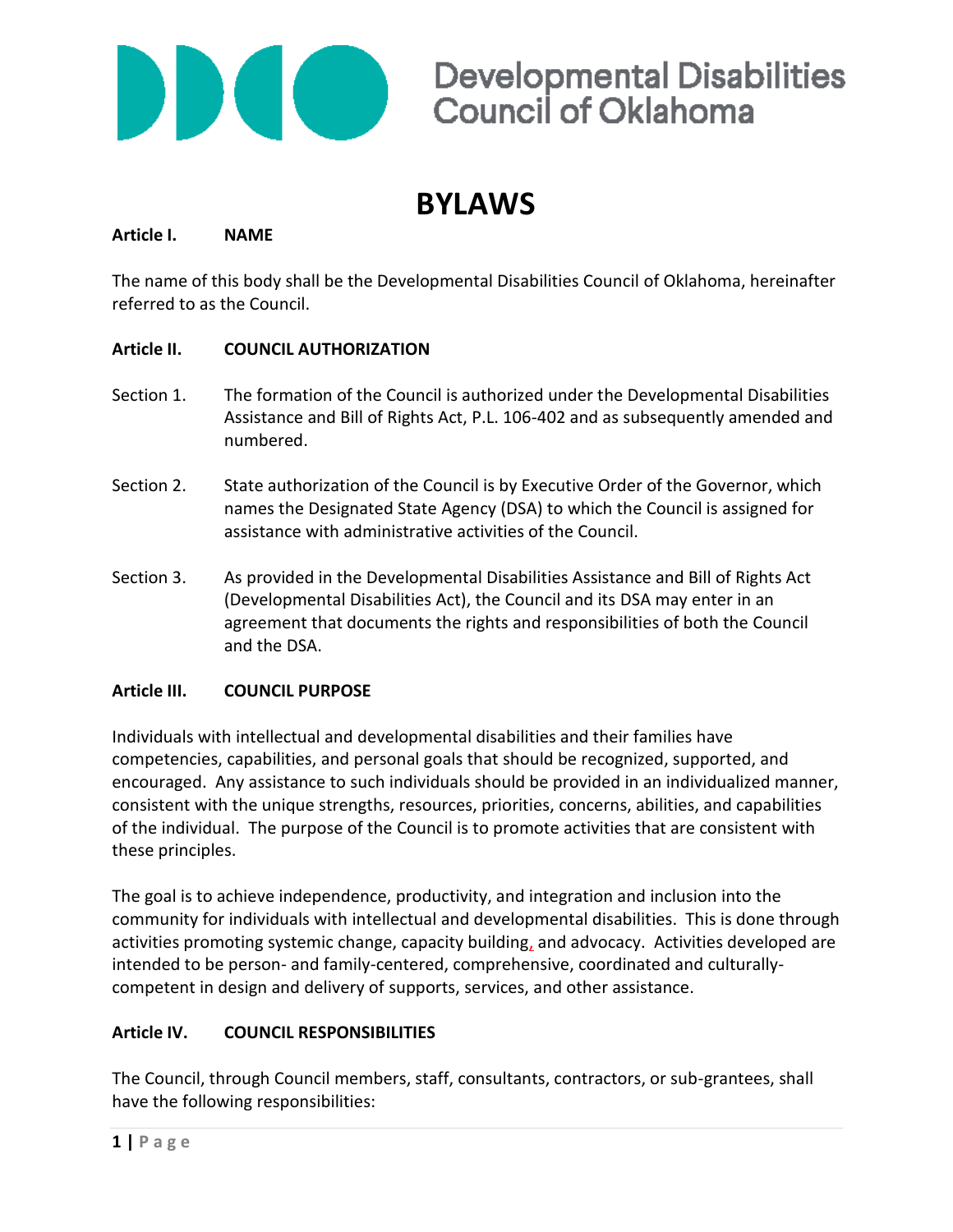

### **BYLAWS**

#### **Article I. NAME**

The name of this body shall be the Developmental Disabilities Council of Oklahoma, hereinafter referred to as the Council.

### **Article II. COUNCIL AUTHORIZATION**

- Section 1. The formation of the Council is authorized under the Developmental Disabilities Assistance and Bill of Rights Act, P.L. 106-402 and as subsequently amended and numbered.
- Section 2. State authorization of the Council is by Executive Order of the Governor, which names the Designated State Agency (DSA) to which the Council is assigned for assistance with administrative activities of the Council.
- Section 3. As provided in the Developmental Disabilities Assistance and Bill of Rights Act (Developmental Disabilities Act), the Council and its DSA may enter in an agreement that documents the rights and responsibilities of both the Council and the DSA.

#### **Article III. COUNCIL PURPOSE**

Individuals with intellectual and developmental disabilities and their families have competencies, capabilities, and personal goals that should be recognized, supported, and encouraged. Any assistance to such individuals should be provided in an individualized manner, consistent with the unique strengths, resources, priorities, concerns, abilities, and capabilities of the individual. The purpose of the Council is to promote activities that are consistent with these principles.

The goal is to achieve independence, productivity, and integration and inclusion into the community for individuals with intellectual and developmental disabilities. This is done through activities promoting systemic change, capacity building, and advocacy. Activities developed are intended to be person- and family-centered, comprehensive, coordinated and culturallycompetent in design and delivery of supports, services, and other assistance.

### **Article IV. COUNCIL RESPONSIBILITIES**

The Council, through Council members, staff, consultants, contractors, or sub-grantees, shall have the following responsibilities: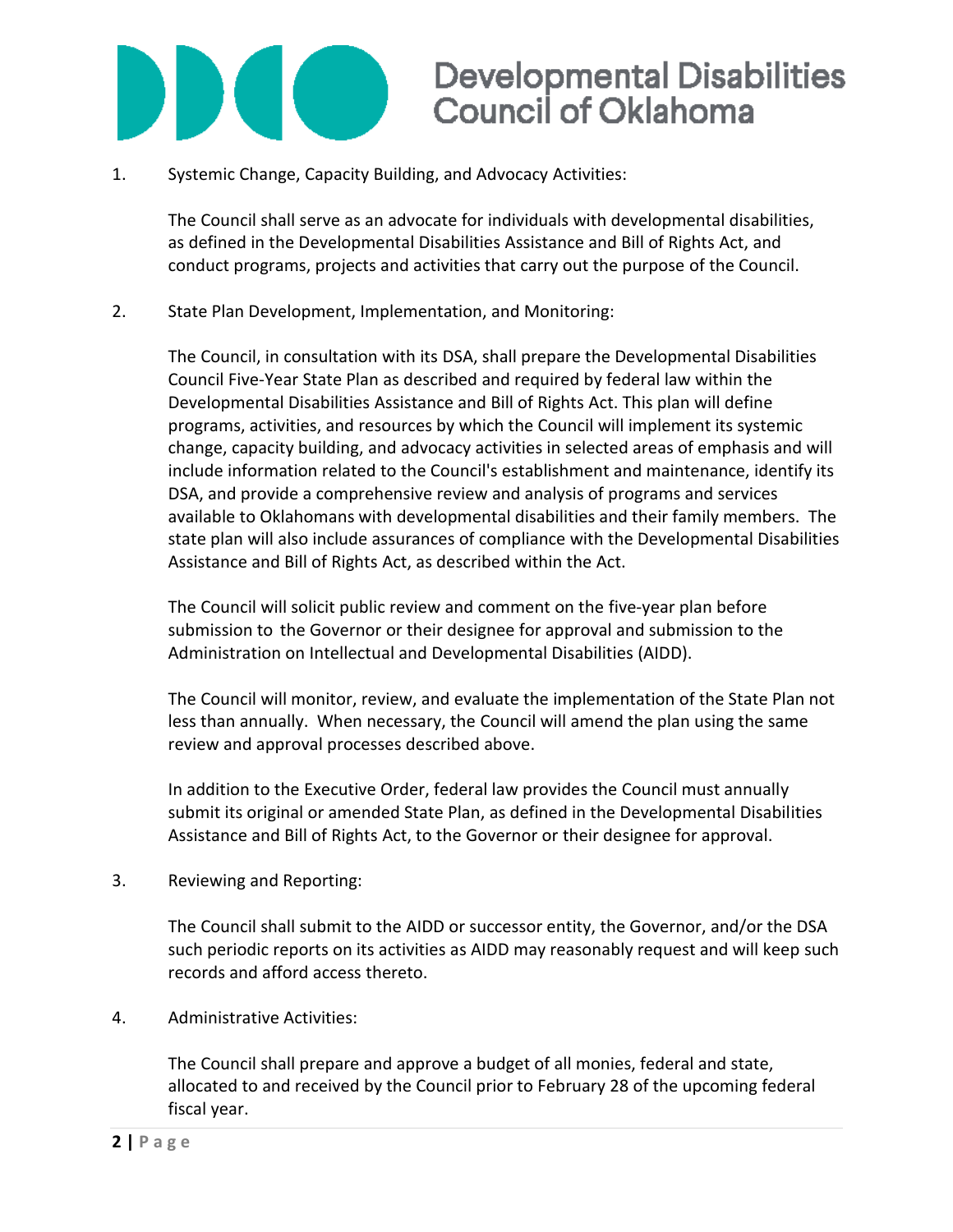

1. Systemic Change, Capacity Building, and Advocacy Activities:

The Council shall serve as an advocate for individuals with developmental disabilities, as defined in the Developmental Disabilities Assistance and Bill of Rights Act, and conduct programs, projects and activities that carry out the purpose of the Council.

2. State Plan Development, Implementation, and Monitoring:

The Council, in consultation with its DSA, shall prepare the Developmental Disabilities Council Five-Year State Plan as described and required by federal law within the Developmental Disabilities Assistance and Bill of Rights Act. This plan will define programs, activities, and resources by which the Council will implement its systemic change, capacity building, and advocacy activities in selected areas of emphasis and will include information related to the Council's establishment and maintenance, identify its DSA, and provide a comprehensive review and analysis of programs and services available to Oklahomans with developmental disabilities and their family members. The state plan will also include assurances of compliance with the Developmental Disabilities Assistance and Bill of Rights Act, as described within the Act.

The Council will solicit public review and comment on the five-year plan before submission to the Governor or their designee for approval and submission to the Administration on Intellectual and Developmental Disabilities (AIDD).

The Council will monitor, review, and evaluate the implementation of the State Plan not less than annually. When necessary, the Council will amend the plan using the same review and approval processes described above.

In addition to the Executive Order, federal law provides the Council must annually submit its original or amended State Plan, as defined in the Developmental Disabilities Assistance and Bill of Rights Act, to the Governor or their designee for approval.

3. Reviewing and Reporting:

The Council shall submit to the AIDD or successor entity, the Governor, and/or the DSA such periodic reports on its activities as AIDD may reasonably request and will keep such records and afford access thereto.

4. Administrative Activities:

The Council shall prepare and approve a budget of all monies, federal and state, allocated to and received by the Council prior to February 28 of the upcoming federal fiscal year.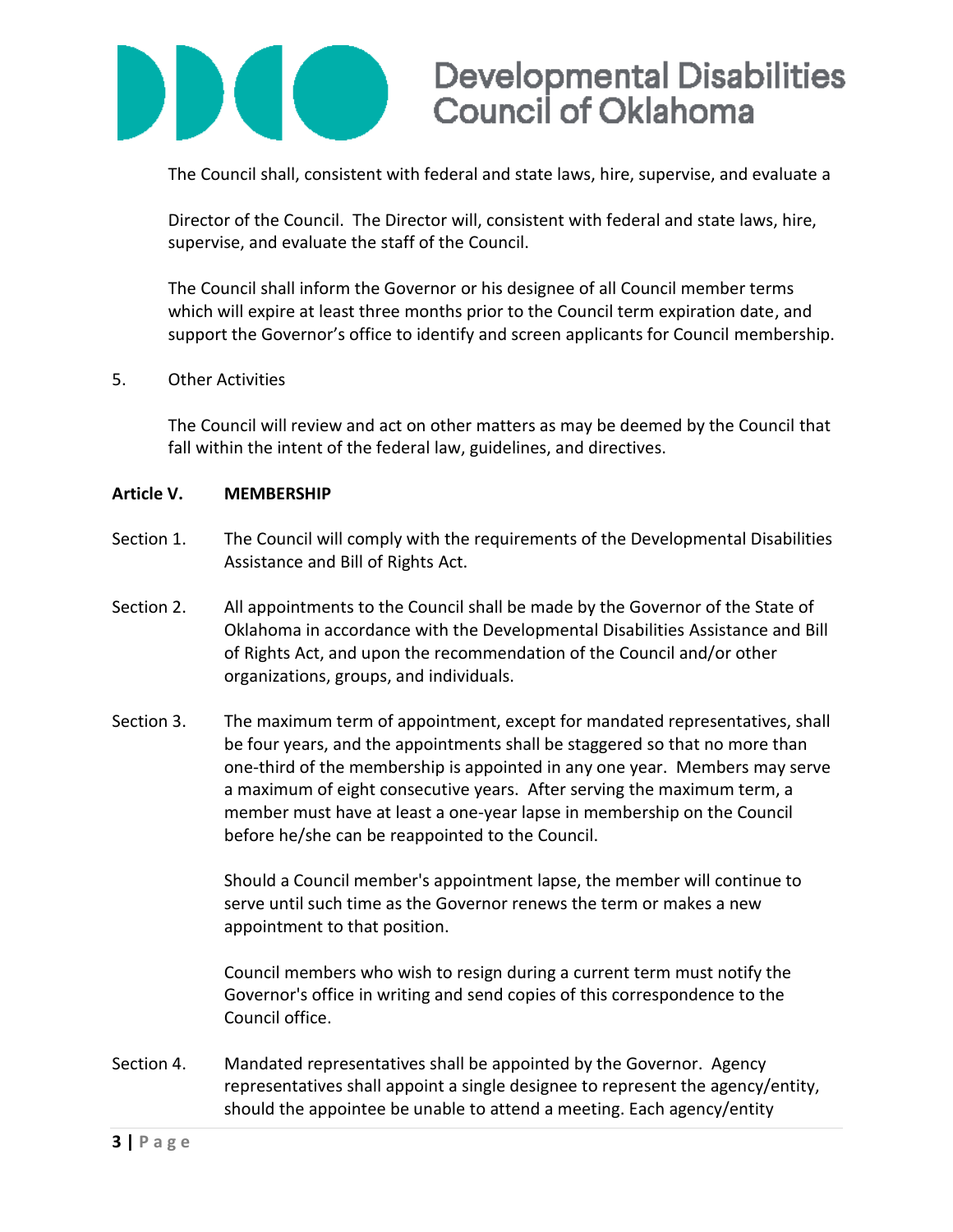

The Council shall, consistent with federal and state laws, hire, supervise, and evaluate a

Director of the Council. The Director will, consistent with federal and state laws, hire, supervise, and evaluate the staff of the Council.

The Council shall inform the Governor or his designee of all Council member terms which will expire at least three months prior to the Council term expiration date, and support the Governor's office to identify and screen applicants for Council membership.

#### 5. Other Activities

The Council will review and act on other matters as may be deemed by the Council that fall within the intent of the federal law, guidelines, and directives.

#### **Article V. MEMBERSHIP**

- Section 1. The Council will comply with the requirements of the Developmental Disabilities Assistance and Bill of Rights Act.
- Section 2. All appointments to the Council shall be made by the Governor of the State of Oklahoma in accordance with the Developmental Disabilities Assistance and Bill of Rights Act, and upon the recommendation of the Council and/or other organizations, groups, and individuals.
- Section 3. The maximum term of appointment, except for mandated representatives, shall be four years, and the appointments shall be staggered so that no more than one-third of the membership is appointed in any one year. Members may serve a maximum of eight consecutive years. After serving the maximum term, a member must have at least a one-year lapse in membership on the Council before he/she can be reappointed to the Council.

Should a Council member's appointment lapse, the member will continue to serve until such time as the Governor renews the term or makes a new appointment to that position.

Council members who wish to resign during a current term must notify the Governor's office in writing and send copies of this correspondence to the Council office.

Section 4. Mandated representatives shall be appointed by the Governor. Agency representatives shall appoint a single designee to represent the agency/entity, should the appointee be unable to attend a meeting. Each agency/entity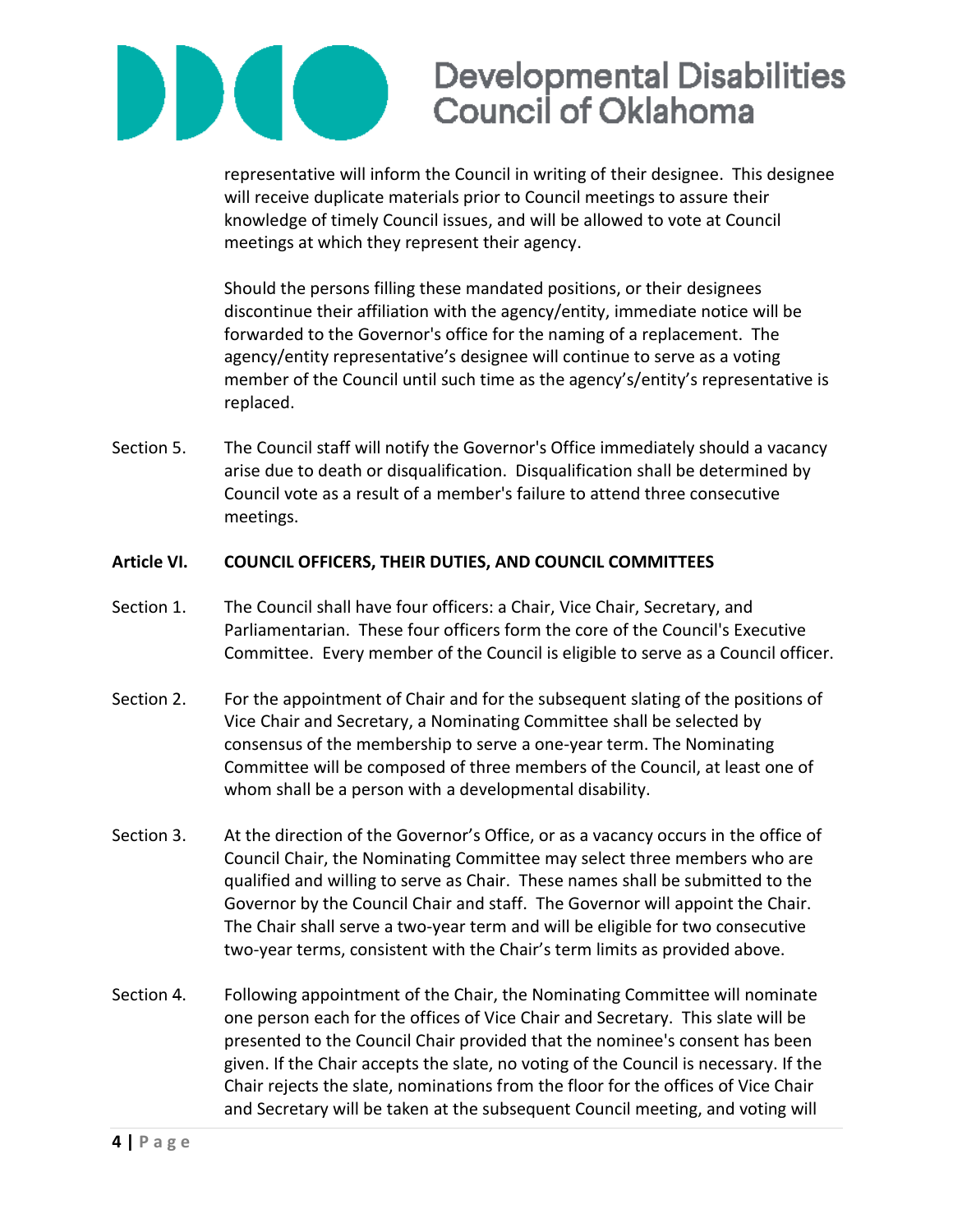

representative will inform the Council in writing of their designee. This designee will receive duplicate materials prior to Council meetings to assure their knowledge of timely Council issues, and will be allowed to vote at Council meetings at which they represent their agency.

Should the persons filling these mandated positions, or their designees discontinue their affiliation with the agency/entity, immediate notice will be forwarded to the Governor's office for the naming of a replacement. The agency/entity representative's designee will continue to serve as a voting member of the Council until such time as the agency's/entity's representative is replaced.

Section 5. The Council staff will notify the Governor's Office immediately should a vacancy arise due to death or disqualification. Disqualification shall be determined by Council vote as a result of a member's failure to attend three consecutive meetings.

#### **Article VI. COUNCIL OFFICERS, THEIR DUTIES, AND COUNCIL COMMITTEES**

- Section 1. The Council shall have four officers: a Chair, Vice Chair, Secretary, and Parliamentarian. These four officers form the core of the Council's Executive Committee. Every member of the Council is eligible to serve as a Council officer.
- Section 2. For the appointment of Chair and for the subsequent slating of the positions of Vice Chair and Secretary, a Nominating Committee shall be selected by consensus of the membership to serve a one-year term. The Nominating Committee will be composed of three members of the Council, at least one of whom shall be a person with a developmental disability.
- Section 3. At the direction of the Governor's Office, or as a vacancy occurs in the office of Council Chair, the Nominating Committee may select three members who are qualified and willing to serve as Chair. These names shall be submitted to the Governor by the Council Chair and staff. The Governor will appoint the Chair. The Chair shall serve a two-year term and will be eligible for two consecutive two-year terms, consistent with the Chair's term limits as provided above.
- Section 4. Following appointment of the Chair, the Nominating Committee will nominate one person each for the offices of Vice Chair and Secretary. This slate will be presented to the Council Chair provided that the nominee's consent has been given. If the Chair accepts the slate, no voting of the Council is necessary. If the Chair rejects the slate, nominations from the floor for the offices of Vice Chair and Secretary will be taken at the subsequent Council meeting, and voting will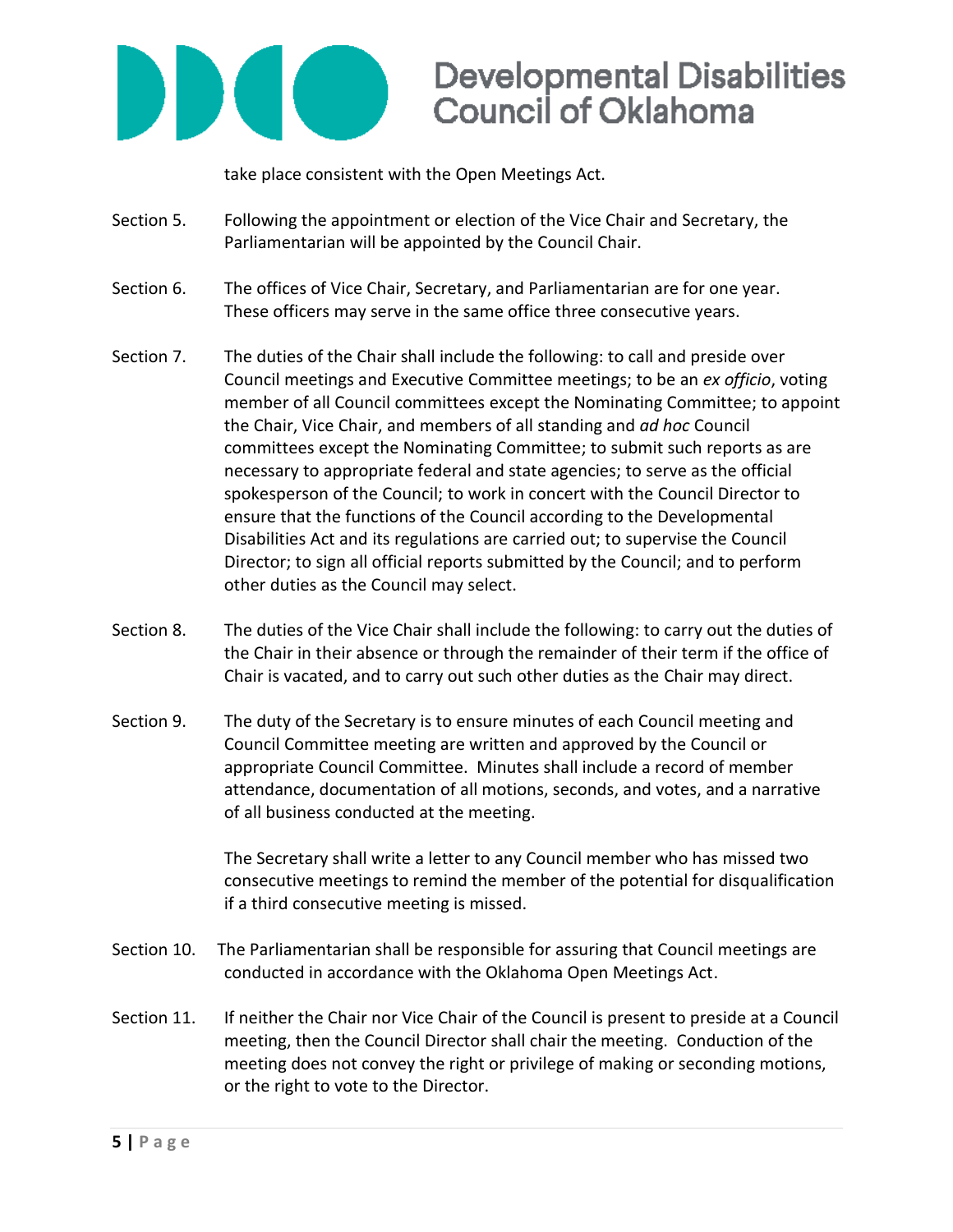

take place consistent with the Open Meetings Act.

- Section 5. Following the appointment or election of the Vice Chair and Secretary, the Parliamentarian will be appointed by the Council Chair.
- Section 6. The offices of Vice Chair, Secretary, and Parliamentarian are for one year. These officers may serve in the same office three consecutive years.
- Section 7. The duties of the Chair shall include the following: to call and preside over Council meetings and Executive Committee meetings; to be an *ex officio*, voting member of all Council committees except the Nominating Committee; to appoint the Chair, Vice Chair, and members of all standing and *ad hoc* Council committees except the Nominating Committee; to submit such reports as are necessary to appropriate federal and state agencies; to serve as the official spokesperson of the Council; to work in concert with the Council Director to ensure that the functions of the Council according to the Developmental Disabilities Act and its regulations are carried out; to supervise the Council Director; to sign all official reports submitted by the Council; and to perform other duties as the Council may select.
- Section 8. The duties of the Vice Chair shall include the following: to carry out the duties of the Chair in their absence or through the remainder of their term if the office of Chair is vacated, and to carry out such other duties as the Chair may direct.
- Section 9. The duty of the Secretary is to ensure minutes of each Council meeting and Council Committee meeting are written and approved by the Council or appropriate Council Committee. Minutes shall include a record of member attendance, documentation of all motions, seconds, and votes, and a narrative of all business conducted at the meeting.

The Secretary shall write a letter to any Council member who has missed two consecutive meetings to remind the member of the potential for disqualification if a third consecutive meeting is missed.

- Section 10. The Parliamentarian shall be responsible for assuring that Council meetings are conducted in accordance with the Oklahoma Open Meetings Act.
- Section 11. If neither the Chair nor Vice Chair of the Council is present to preside at a Council meeting, then the Council Director shall chair the meeting. Conduction of the meeting does not convey the right or privilege of making or seconding motions, or the right to vote to the Director.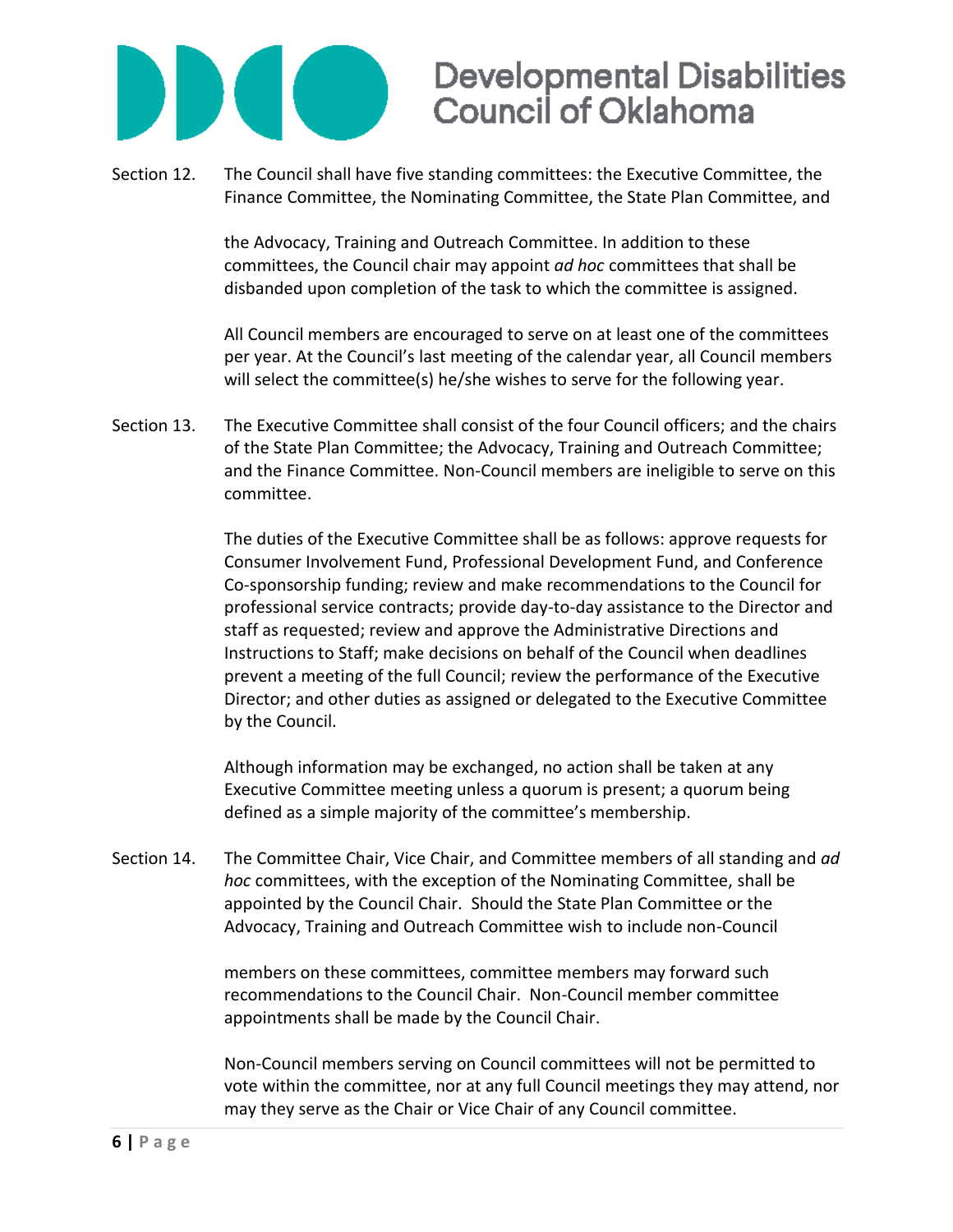

Section 12. The Council shall have five standing committees: the Executive Committee, the Finance Committee, the Nominating Committee, the State Plan Committee, and

> the Advocacy, Training and Outreach Committee. In addition to these committees, the Council chair may appoint *ad hoc* committees that shall be disbanded upon completion of the task to which the committee is assigned.

All Council members are encouraged to serve on at least one of the committees per year. At the Council's last meeting of the calendar year, all Council members will select the committee(s) he/she wishes to serve for the following year.

Section 13. The Executive Committee shall consist of the four Council officers; and the chairs of the State Plan Committee; the Advocacy, Training and Outreach Committee; and the Finance Committee. Non-Council members are ineligible to serve on this committee.

> The duties of the Executive Committee shall be as follows: approve requests for Consumer Involvement Fund, Professional Development Fund, and Conference Co-sponsorship funding; review and make recommendations to the Council for professional service contracts; provide day-to-day assistance to the Director and staff as requested; review and approve the Administrative Directions and Instructions to Staff; make decisions on behalf of the Council when deadlines prevent a meeting of the full Council; review the performance of the Executive Director; and other duties as assigned or delegated to the Executive Committee by the Council.

Although information may be exchanged, no action shall be taken at any Executive Committee meeting unless a quorum is present; a quorum being defined as a simple majority of the committee's membership.

Section 14. The Committee Chair, Vice Chair, and Committee members of all standing and *ad hoc* committees, with the exception of the Nominating Committee, shall be appointed by the Council Chair. Should the State Plan Committee or the Advocacy, Training and Outreach Committee wish to include non-Council

> members on these committees, committee members may forward such recommendations to the Council Chair. Non-Council member committee appointments shall be made by the Council Chair.

Non-Council members serving on Council committees will not be permitted to vote within the committee, nor at any full Council meetings they may attend, nor may they serve as the Chair or Vice Chair of any Council committee.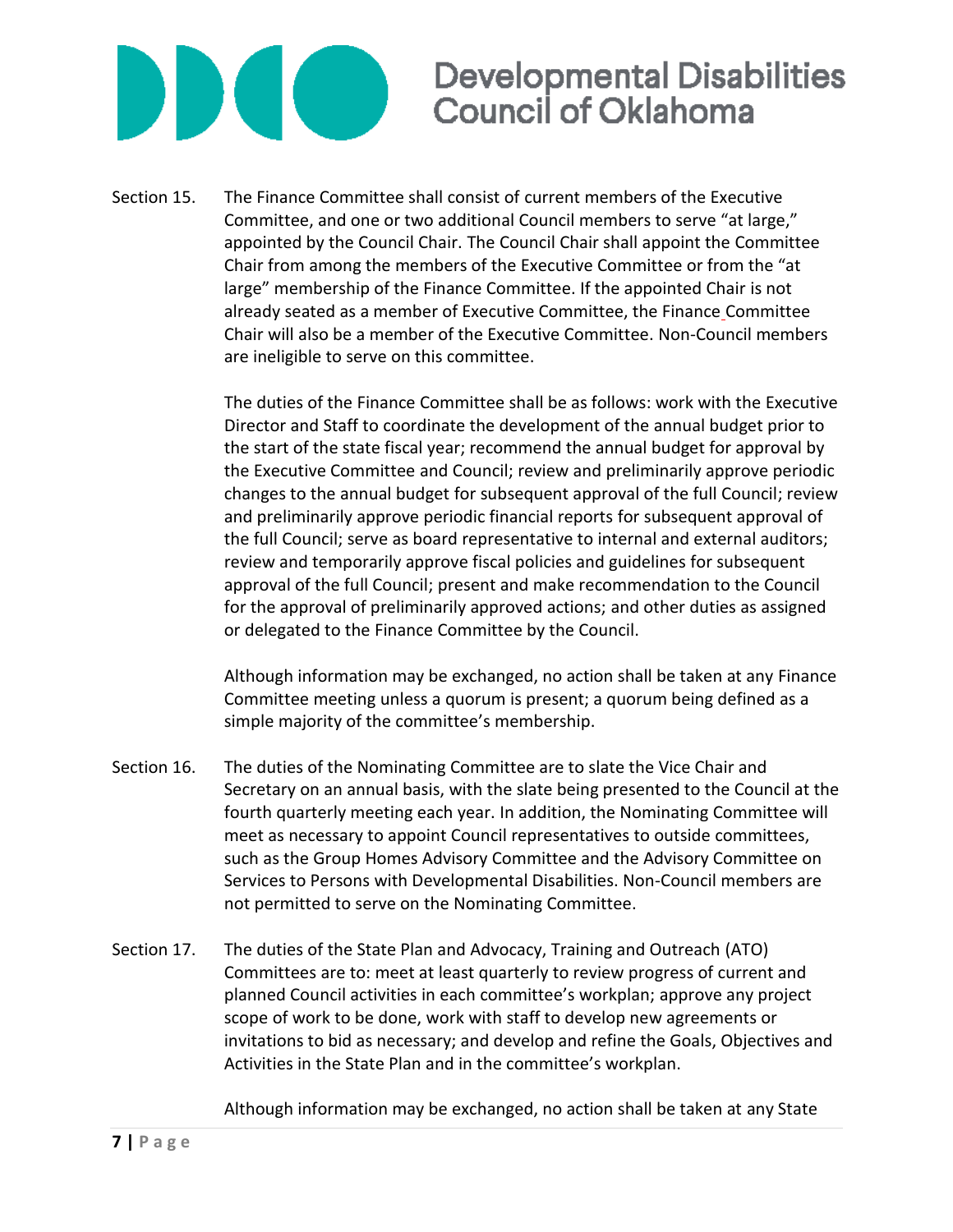

Section 15. The Finance Committee shall consist of current members of the Executive Committee, and one or two additional Council members to serve "at large," appointed by the Council Chair. The Council Chair shall appoint the Committee Chair from among the members of the Executive Committee or from the "at large" membership of the Finance Committee. If the appointed Chair is not already seated as a member of Executive Committee, the Finance Committee Chair will also be a member of the Executive Committee. Non-Council members are ineligible to serve on this committee.

> The duties of the Finance Committee shall be as follows: work with the Executive Director and Staff to coordinate the development of the annual budget prior to the start of the state fiscal year; recommend the annual budget for approval by the Executive Committee and Council; review and preliminarily approve periodic changes to the annual budget for subsequent approval of the full Council; review and preliminarily approve periodic financial reports for subsequent approval of the full Council; serve as board representative to internal and external auditors; review and temporarily approve fiscal policies and guidelines for subsequent approval of the full Council; present and make recommendation to the Council for the approval of preliminarily approved actions; and other duties as assigned or delegated to the Finance Committee by the Council.

> Although information may be exchanged, no action shall be taken at any Finance Committee meeting unless a quorum is present; a quorum being defined as a simple majority of the committee's membership.

- Section 16. The duties of the Nominating Committee are to slate the Vice Chair and Secretary on an annual basis, with the slate being presented to the Council at the fourth quarterly meeting each year. In addition, the Nominating Committee will meet as necessary to appoint Council representatives to outside committees, such as the Group Homes Advisory Committee and the Advisory Committee on Services to Persons with Developmental Disabilities. Non-Council members are not permitted to serve on the Nominating Committee.
- Section 17. The duties of the State Plan and Advocacy, Training and Outreach (ATO) Committees are to: meet at least quarterly to review progress of current and planned Council activities in each committee's workplan; approve any project scope of work to be done, work with staff to develop new agreements or invitations to bid as necessary; and develop and refine the Goals, Objectives and Activities in the State Plan and in the committee's workplan.

Although information may be exchanged, no action shall be taken at any State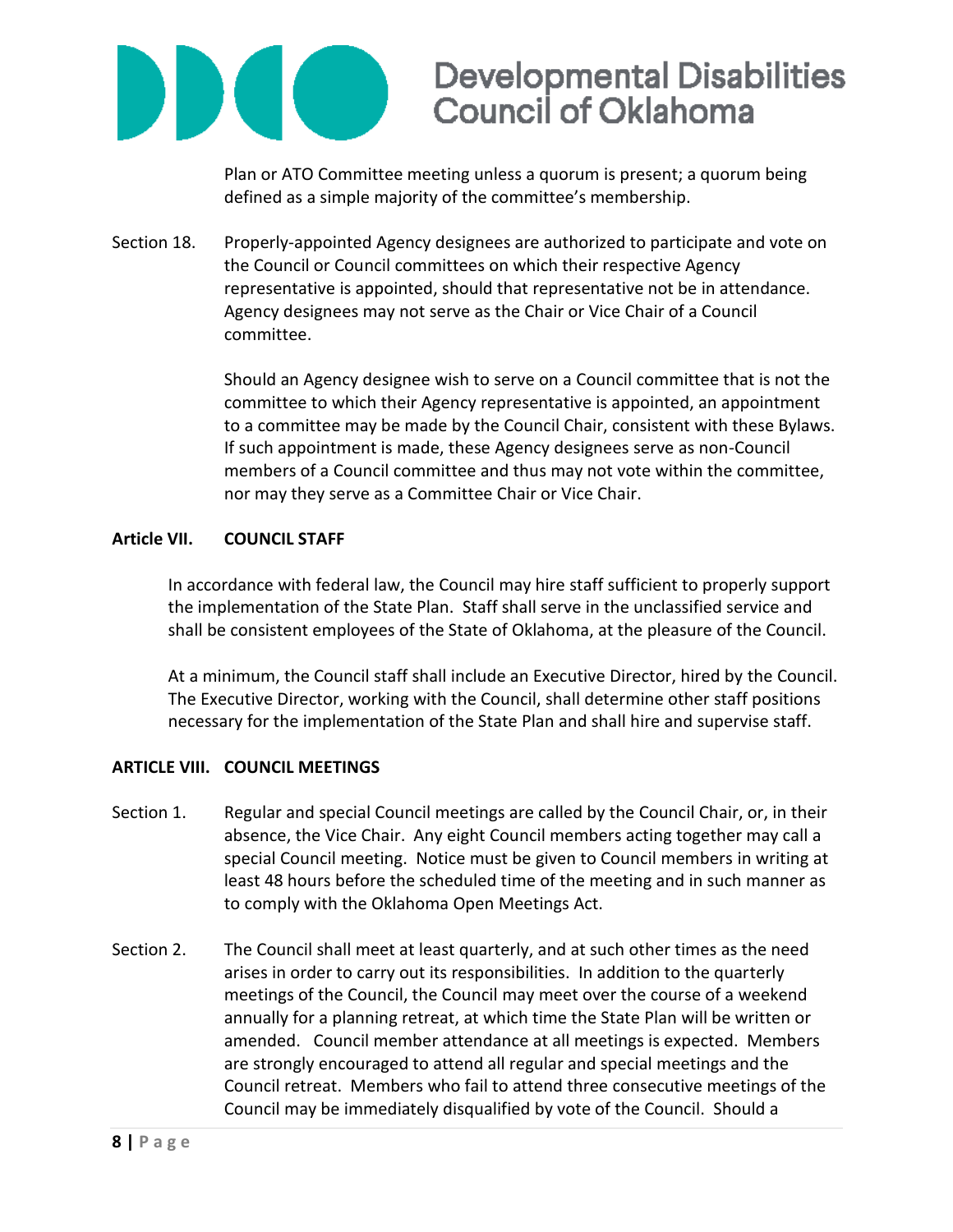

Plan or ATO Committee meeting unless a quorum is present; a quorum being defined as a simple majority of the committee's membership.

Section 18. Properly-appointed Agency designees are authorized to participate and vote on the Council or Council committees on which their respective Agency representative is appointed, should that representative not be in attendance. Agency designees may not serve as the Chair or Vice Chair of a Council committee.

> Should an Agency designee wish to serve on a Council committee that is not the committee to which their Agency representative is appointed, an appointment to a committee may be made by the Council Chair, consistent with these Bylaws. If such appointment is made, these Agency designees serve as non-Council members of a Council committee and thus may not vote within the committee, nor may they serve as a Committee Chair or Vice Chair.

#### **Article VII. COUNCIL STAFF**

In accordance with federal law, the Council may hire staff sufficient to properly support the implementation of the State Plan. Staff shall serve in the unclassified service and shall be consistent employees of the State of Oklahoma, at the pleasure of the Council.

At a minimum, the Council staff shall include an Executive Director, hired by the Council. The Executive Director, working with the Council, shall determine other staff positions necessary for the implementation of the State Plan and shall hire and supervise staff.

### **ARTICLE VIII. COUNCIL MEETINGS**

- Section 1. Regular and special Council meetings are called by the Council Chair, or, in their absence, the Vice Chair. Any eight Council members acting together may call a special Council meeting. Notice must be given to Council members in writing at least 48 hours before the scheduled time of the meeting and in such manner as to comply with the Oklahoma Open Meetings Act.
- Section 2. The Council shall meet at least quarterly, and at such other times as the need arises in order to carry out its responsibilities. In addition to the quarterly meetings of the Council, the Council may meet over the course of a weekend annually for a planning retreat, at which time the State Plan will be written or amended. Council member attendance at all meetings is expected. Members are strongly encouraged to attend all regular and special meetings and the Council retreat. Members who fail to attend three consecutive meetings of the Council may be immediately disqualified by vote of the Council. Should a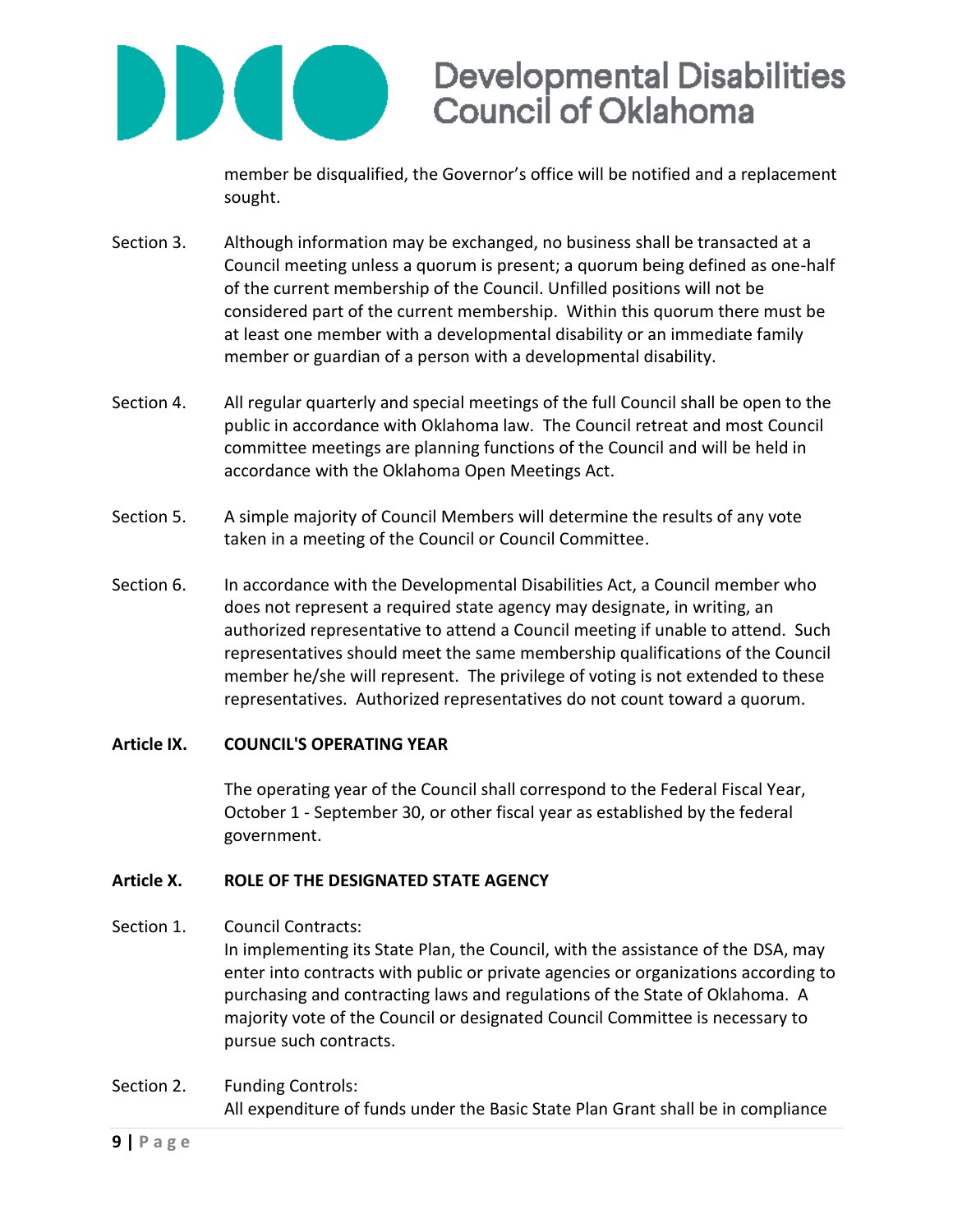

member be disqualified, the Governor's office will be notified and a replacement sought.

- Section 3. Although information may be exchanged, no business shall be transacted at a Council meeting unless a quorum is present; a quorum being defined as one-half of the current membership of the Council. Unfilled positions will not be considered part of the current membership. Within this quorum there must be at least one member with a developmental disability or an immediate family member or guardian of a person with a developmental disability.
- Section 4. All regular quarterly and special meetings of the full Council shall be open to the public in accordance with Oklahoma law. The Council retreat and most Council committee meetings are planning functions of the Council and will be held in accordance with the Oklahoma Open Meetings Act.
- Section 5. A simple majority of Council Members will determine the results of any vote taken in a meeting of the Council or Council Committee.
- Section 6. In accordance with the Developmental Disabilities Act, a Council member who does not represent a required state agency may designate, in writing, an authorized representative to attend a Council meeting if unable to attend. Such representatives should meet the same membership qualifications of the Council member he/she will represent. The privilege of voting is not extended to these representatives. Authorized representatives do not count toward a quorum.

### **Article IX. COUNCIL'S OPERATING YEAR**

The operating year of the Council shall correspond to the Federal Fiscal Year, October 1 - September 30, or other fiscal year as established by the federal government.

### **Article X. ROLE OF THE DESIGNATED STATE AGENCY**

Section 1. Council Contracts:

In implementing its State Plan, the Council, with the assistance of the DSA, may enter into contracts with public or private agencies or organizations according to purchasing and contracting laws and regulations of the State of Oklahoma. A majority vote of the Council or designated Council Committee is necessary to pursue such contracts.

Section 2. Funding Controls: All expenditure of funds under the Basic State Plan Grant shall be in compliance